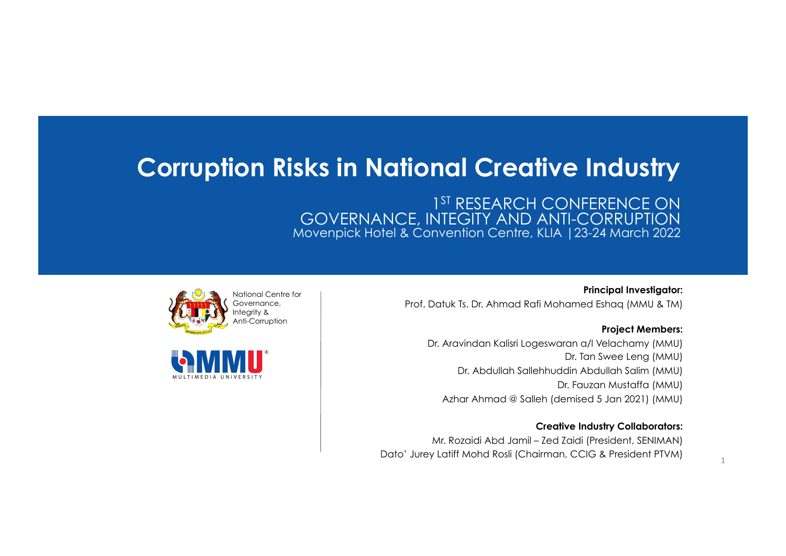#### **Corruption Risks in National Creative Industry**

1<sup>ST</sup> RESEARCH CONFERENCE ON GOVERNANCE, INTEGITY AND ANTI-CORRUPTION Movenpick Hotel & Convention Centre, KLIA |23-24 March 2022





**Principal Investigator:**  Prof. Datuk Ts. Dr. Ahmad Rafi Mohamed Eshaq (MMU & TM)

#### **Project Members:**

1 

Dr. Aravindan Kalisri Logeswaran a/l Velachamy (MMU) Dr. Tan Swee Leng (MMU) Dr. Abdullah Sallehhuddin Abdullah Salim (MMU) Dr. Fauzan Mustaffa (MMU) Azhar Ahmad @ Salleh (demised 5 Jan 2021) (MMU)

#### **Creative Industry Collaborators:**

Mr. Rozaidi Abd Jamil – Zed Zaidi (President, SENIMAN) Dato' Jurey Latiff Mohd Rosli (Chairman, CCIG & President PTVM)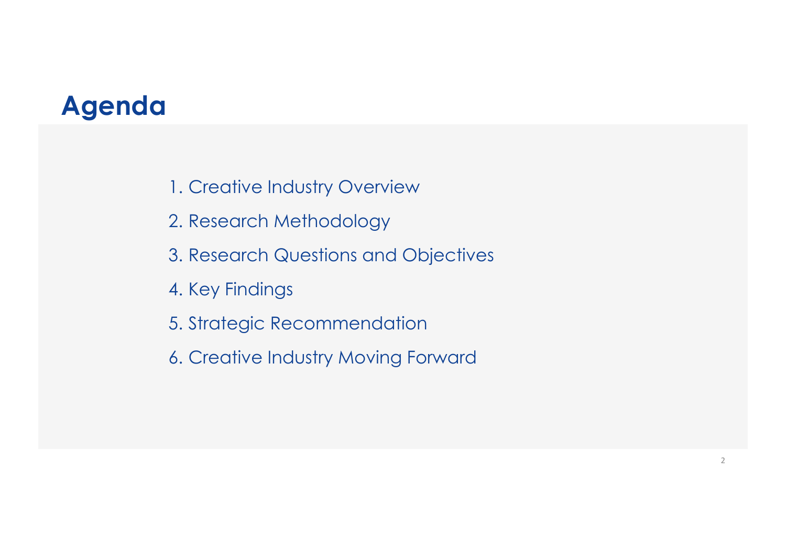#### **Agenda**

- 1. Creative Industry Overview
- 2. Research Methodology
- 3. Research Questions and Objectives
- 4. Key Findings
- 5. Strategic Recommendation
- 6. Creative Industry Moving Forward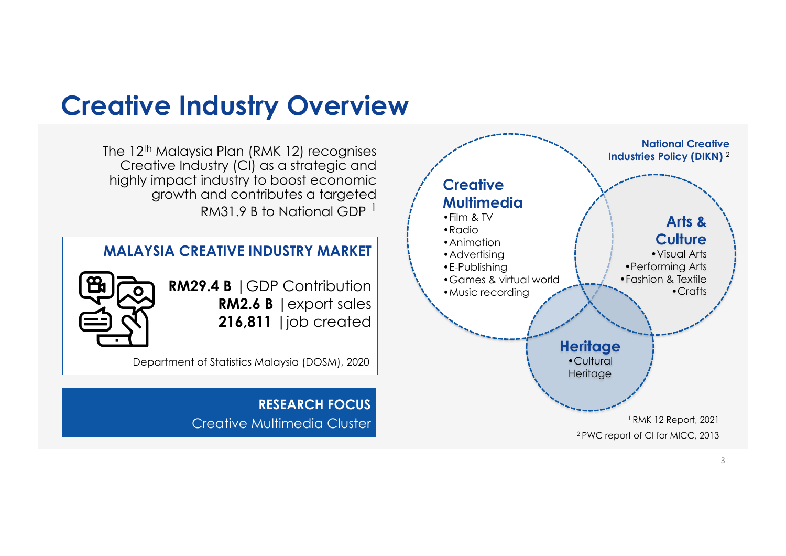#### **Creative Industry Overview**

The 12<sup>th</sup> Malaysia Plan (RMK 12) recognises Creative Industry (CI) as a strategic and highly impact industry to boost economic growth and contributes a targeted RM31.9 B to National GDP  $<sup>1</sup>$ </sup>

#### **MALAYSIA CREATIVE INDUSTRY MARKET**



**RM29.4 B** |GDP Contribution **RM2.6 B** |export sales **216,811** |job created

Department of Statistics Malaysia (DOSM), 2020

**RESEARCH FOCUS**  Creative Multimedia Cluster

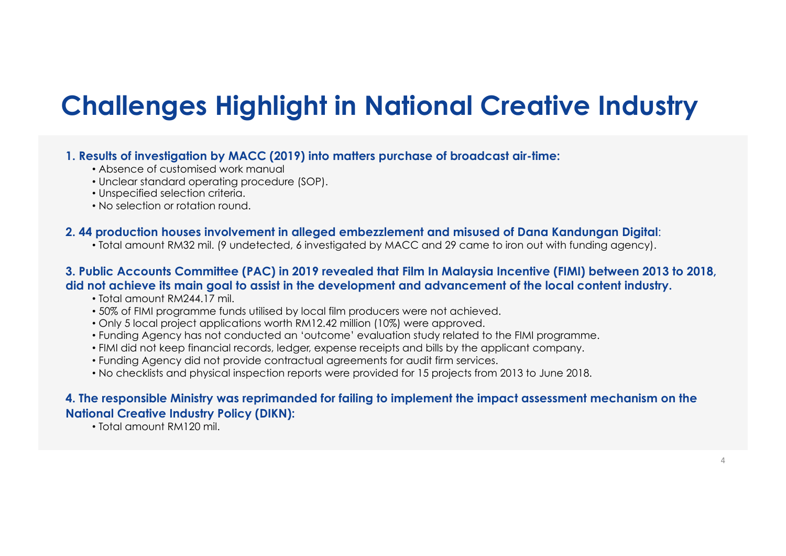### **Challenges Highlight in National Creative Industry**

#### **1. Results of investigation by MACC (2019) into matters purchase of broadcast air-time:**

- Absence of customised work manual
- Unclear standard operating procedure (SOP).
- Unspecified selection criteria.
- No selection or rotation round.

#### **2. 44 production houses involvement in alleged embezzlement and misused of Dana Kandungan Digital**:

• Total amount RM32 mil. (9 undetected, 6 investigated by MACC and 29 came to iron out with funding agency).

#### **3. Public Accounts Committee (PAC) in 2019 revealed that Film In Malaysia Incentive (FIMI) between 2013 to 2018, did not achieve its main goal to assist in the development and advancement of the local content industry.**

- Total amount RM244.17 mil.
- 50% of FIMI programme funds utilised by local film producers were not achieved.
- Only 5 local project applications worth RM12.42 million (10%) were approved.
- Funding Agency has not conducted an 'outcome' evaluation study related to the FIMI programme.
- FIMI did not keep financial records, ledger, expense receipts and bills by the applicant company.
- Funding Agency did not provide contractual agreements for audit firm services.
- No checklists and physical inspection reports were provided for 15 projects from 2013 to June 2018.

#### **4. The responsible Ministry was reprimanded for failing to implement the impact assessment mechanism on the National Creative Industry Policy (DIKN):**

• Total amount RM120 mil.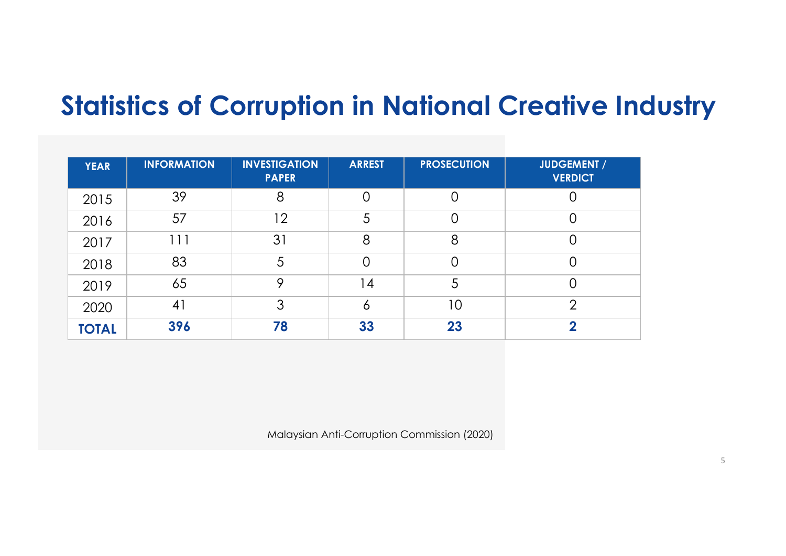### **Statistics of Corruption in National Creative Industry**

| <b>YEAR</b>  | <b>INFORMATION</b> | <b>INVESTIGATION</b><br><b>PAPER</b> | <b>ARREST</b> | <b>PROSECUTION</b> | <b>JUDGEMENT /</b><br><b>VERDICT</b> |
|--------------|--------------------|--------------------------------------|---------------|--------------------|--------------------------------------|
| 2015         | 39                 | 8                                    |               |                    |                                      |
| 2016         | 57                 | 12                                   | 5             | C                  | 0                                    |
| 2017         | l 1 1              | 31                                   | 8             | 8                  |                                      |
| 2018         | 83                 | 5                                    | 0             | C                  |                                      |
| 2019         | 65                 | 9                                    | 14            | 5                  |                                      |
| 2020         | 41                 | 3                                    | O             | 10                 | $\overline{2}$                       |
| <b>TOTAL</b> | 396                | 78                                   | 33            | 23                 | ◠                                    |

Malaysian Anti-Corruption Commission (2020)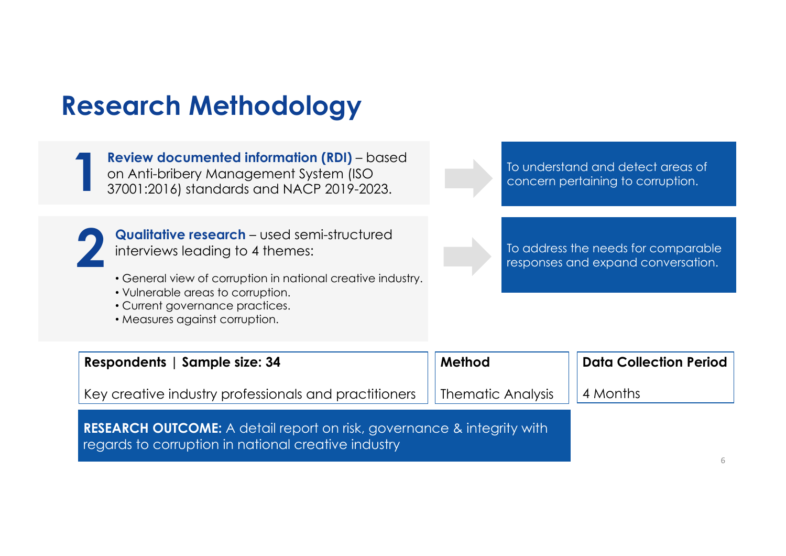### **Research Methodology**

**Review documented information (RDI)** – based on Anti-bribery Management System (ISO 37001:2016) standards and NACP 2019-2023. **1**

To understand and detect areas of concern pertaining to corruption.



**Qualitative research** – used semi-structured interviews leading to 4 themes:

- General view of corruption in national creative industry.
- Vulnerable areas to corruption.
- Current governance practices.
- Measures against corruption.

To address the needs for comparable responses and expand conversation.

| Respondents   Sample size: 34                                                                                                        | Method            | <b>Data Collection Period</b> |
|--------------------------------------------------------------------------------------------------------------------------------------|-------------------|-------------------------------|
| Key creative industry professionals and practitioners                                                                                | Thematic Analysis | 4 Months                      |
| <b>RESEARCH OUTCOME:</b> A detail report on risk, governance & integrity with<br>regards to corruption in national creative industry |                   |                               |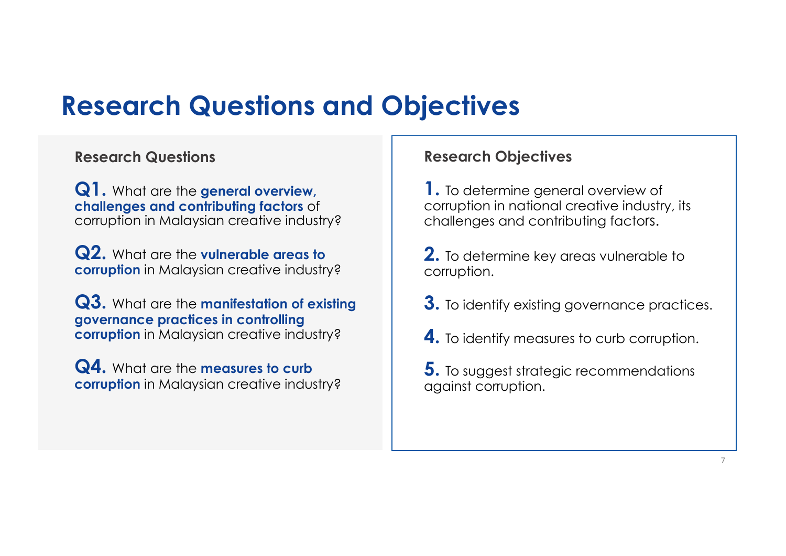#### **Research Questions and Objectives**

#### **Research Questions**

**Q1.** What are the **general overview, challenges and contributing factors** of corruption in Malaysian creative industry?

**Q2.** What are the **vulnerable areas to corruption** in Malaysian creative industry?

**Q3.** What are the **manifestation of existing governance practices in controlling corruption** in Malaysian creative industry?

**Q4.** What are the **measures to curb corruption** in Malaysian creative industry?

#### **Research Objectives**

**1.** To determine general overview of corruption in national creative industry, its challenges and contributing factors.

**2.** To determine key areas vulnerable to corruption.

- **3.** To identify existing governance practices.
- **4.** To identify measures to curb corruption.

**5.** To suggest strategic recommendations against corruption.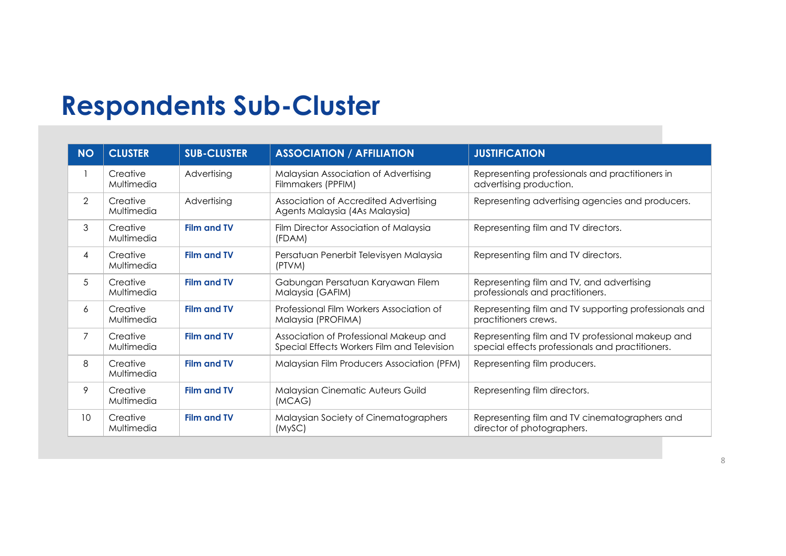### **Respondents Sub-Cluster**

| <b>NO</b> | <b>CLUSTER</b>         | <b>SUB-CLUSTER</b> | <b>ASSOCIATION / AFFILIATION</b>                                                      | <b>JUSTIFICATION</b>                                                                                 |
|-----------|------------------------|--------------------|---------------------------------------------------------------------------------------|------------------------------------------------------------------------------------------------------|
|           | Creative<br>Multimedia | Advertising        | Malaysian Association of Advertising<br>Filmmakers (PPFIM)                            | Representing professionals and practitioners in<br>advertising production.                           |
| 2         | Creative<br>Multimedia | Advertising        | Association of Accredited Advertising<br>Agents Malaysia (4As Malaysia)               | Representing advertising agencies and producers.                                                     |
| 3         | Creative<br>Multimedia | <b>Film and TV</b> | Film Director Association of Malaysia<br>(FDAM)                                       | Representing film and TV directors.                                                                  |
| 4         | Creative<br>Multimedia | <b>Film and TV</b> | Persatuan Penerbit Televisyen Malaysia<br>(PTVM)                                      | Representing film and TV directors.                                                                  |
| 5         | Creative<br>Multimedia | <b>Film and TV</b> | Gabungan Persatuan Karyawan Filem<br>Malaysia (GAFIM)                                 | Representing film and TV, and advertising<br>professionals and practitioners.                        |
| 6         | Creative<br>Multimedia | <b>Film and TV</b> | Professional Film Workers Association of<br>Malaysia (PROFIMA)                        | Representing film and TV supporting professionals and<br>practitioners crews.                        |
| 7         | Creative<br>Multimedia | <b>Film and TV</b> | Association of Professional Makeup and<br>Special Effects Workers Film and Television | Representing film and TV professional makeup and<br>special effects professionals and practitioners. |
| 8         | Creative<br>Multimedia | <b>Film and TV</b> | Malaysian Film Producers Association (PFM)                                            | Representing film producers.                                                                         |
| 9         | Creative<br>Multimedia | <b>Film and TV</b> | Malaysian Cinematic Auteurs Guild<br>(MCAG)                                           | Representing film directors.                                                                         |
| 10        | Creative<br>Multimedia | <b>Film and TV</b> | Malaysian Society of Cinematographers<br>(MySC)                                       | Representing film and TV cinematographers and<br>director of photographers.                          |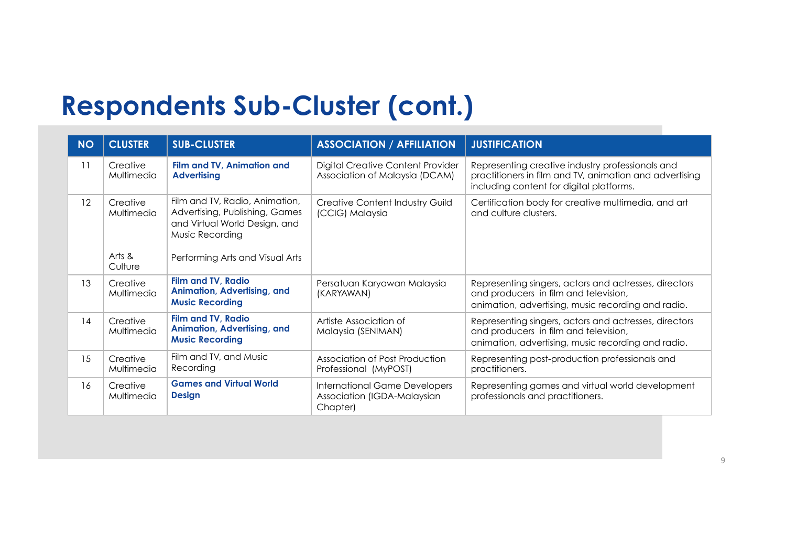### **Respondents Sub-Cluster (cont.)**

| <b>NO</b> | <b>CLUSTER</b>                              | <b>SUB-CLUSTER</b>                                                                                                                                      | <b>ASSOCIATION / AFFILIATION</b>                                         | <b>JUSTIFICATION</b>                                                                                                                                    |
|-----------|---------------------------------------------|---------------------------------------------------------------------------------------------------------------------------------------------------------|--------------------------------------------------------------------------|---------------------------------------------------------------------------------------------------------------------------------------------------------|
| 11        | Creative<br>Multimedia                      | Film and TV, Animation and<br><b>Advertising</b>                                                                                                        | Digital Creative Content Provider<br>Association of Malaysia (DCAM)      | Representing creative industry professionals and<br>practitioners in film and TV, animation and advertising<br>including content for digital platforms. |
| 12        | Creative<br>Multimedia<br>Arts &<br>Culture | Film and TV, Radio, Animation,<br>Advertising, Publishing, Games<br>and Virtual World Design, and<br>Music Recording<br>Performing Arts and Visual Arts | <b>Creative Content Industry Guild</b><br>(CCIG) Malaysia                | Certification body for creative multimedia, and art<br>and culture clusters.                                                                            |
| 13        | Creative<br>Multimedia                      | <b>Film and TV, Radio</b><br>Animation, Advertising, and<br><b>Music Recording</b>                                                                      | Persatuan Karyawan Malaysia<br>(KARYAWAN)                                | Representing singers, actors and actresses, directors<br>and producers in film and television,<br>animation, advertising, music recording and radio.    |
| 14        | Creative<br>Multimedia                      | <b>Film and TV, Radio</b><br>Animation, Advertising, and<br><b>Music Recording</b>                                                                      | Artiste Association of<br>Malaysia (SENIMAN)                             | Representing singers, actors and actresses, directors<br>and producers in film and television,<br>animation, advertising, music recording and radio.    |
| 15        | Creative<br>Multimedia                      | Film and TV, and Music<br>Recording                                                                                                                     | Association of Post Production<br>Professional (MyPOST)                  | Representing post-production professionals and<br>practitioners.                                                                                        |
| 16        | Creative<br>Multimedia                      | <b>Games and Virtual World</b><br><b>Design</b>                                                                                                         | International Game Developers<br>Association (IGDA-Malaysian<br>Chapter) | Representing games and virtual world development<br>professionals and practitioners.                                                                    |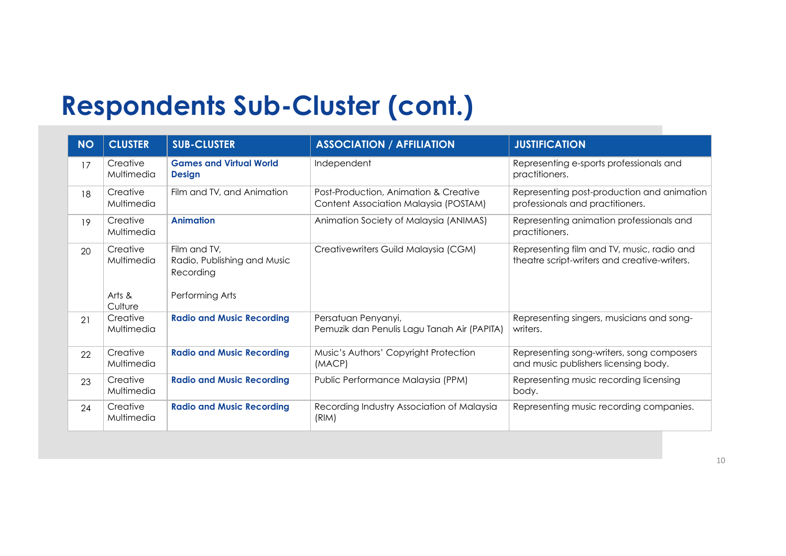### **Respondents Sub-Cluster (cont.)**

| <b>NO</b> | <b>CLUSTER</b>         | <b>SUB-CLUSTER</b>                                       | <b>ASSOCIATION / AFFILIATION</b>                                               | <b>JUSTIFICATION</b>                                                                       |
|-----------|------------------------|----------------------------------------------------------|--------------------------------------------------------------------------------|--------------------------------------------------------------------------------------------|
| 17        | Creative<br>Multimedia | <b>Games and Virtual World</b><br><b>Design</b>          | Independent                                                                    | Representing e-sports professionals and<br>practitioners.                                  |
| 18        | Creative<br>Multimedia | Film and TV, and Animation                               | Post-Production, Animation & Creative<br>Content Association Malaysia (POSTAM) | Representing post-production and animation<br>professionals and practitioners.             |
| 19        | Creative<br>Multimedia | <b>Animation</b>                                         | Animation Society of Malaysia (ANIMAS)                                         | Representing animation professionals and<br>practitioners.                                 |
| 20        | Creative<br>Multimedia | Film and TV,<br>Radio, Publishing and Music<br>Recording | Creativewriters Guild Malaysia (CGM)                                           | Representing film and TV, music, radio and<br>theatre script-writers and creative-writers. |
|           | Arts &<br>Culture      | Performing Arts                                          |                                                                                |                                                                                            |
| 21        | Creative<br>Multimedia | <b>Radio and Music Recording</b>                         | Persatuan Penyanyi,<br>Pemuzik dan Penulis Lagu Tanah Air (PAPITA)             | Representing singers, musicians and song-<br>writers.                                      |
| 22        | Creative<br>Multimedia | <b>Radio and Music Recording</b>                         | Music's Authors' Copyright Protection<br>(MACP)                                | Representing song-writers, song composers<br>and music publishers licensing body.          |
| 23        | Creative<br>Multimedia | <b>Radio and Music Recording</b>                         | Public Performance Malaysia (PPM)                                              | Representing music recording licensing<br>body.                                            |
| 24        | Creative<br>Multimedia | <b>Radio and Music Recording</b>                         | Recording Industry Association of Malaysia<br>(RIM)                            | Representing music recording companies.                                                    |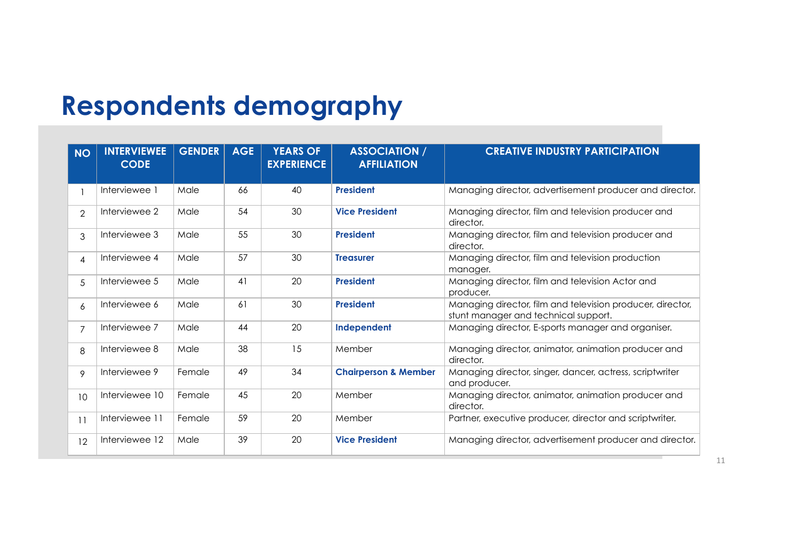### **Respondents demography**

| <b>NO</b>      | <b>INTERVIEWEE</b><br><b>CODE</b> | <b>GENDER</b> | <b>AGE</b> | <b>YEARS OF</b><br><b>EXPERIENCE</b> | <b>ASSOCIATION /</b><br><b>AFFILIATION</b> | <b>CREATIVE INDUSTRY PARTICIPATION</b>                                                             |
|----------------|-----------------------------------|---------------|------------|--------------------------------------|--------------------------------------------|----------------------------------------------------------------------------------------------------|
|                | Interviewee 1                     | Male          | 66         | 40                                   | <b>President</b>                           | Managing director, advertisement producer and director.                                            |
| $\overline{2}$ | Interviewee 2                     | Male          | 54         | 30                                   | <b>Vice President</b>                      | Managing director, film and television producer and<br>director.                                   |
| 3              | Interviewee 3                     | Male          | 55         | 30                                   | <b>President</b>                           | Managing director, film and television producer and<br>director.                                   |
| $\overline{4}$ | Interviewee 4                     | Male          | 57         | 30                                   | <b>Treasurer</b>                           | Managing director, film and television production<br>manager.                                      |
| 5              | Interviewee 5                     | Male          | 41         | 20                                   | <b>President</b>                           | Managing director, film and television Actor and<br>producer.                                      |
| 6              | Interviewee 6                     | Male          | 61         | 30                                   | <b>President</b>                           | Managing director, film and television producer, director,<br>stunt manager and technical support. |
| $\overline{7}$ | Interviewee 7                     | Male          | 44         | 20                                   | Independent                                | Managing director, E-sports manager and organiser.                                                 |
| 8              | Interviewee 8                     | Male          | 38         | 15                                   | Member                                     | Managing director, animator, animation producer and<br>director.                                   |
| 9              | Interviewee 9                     | Female        | 49         | 34                                   | <b>Chairperson &amp; Member</b>            | Managing director, singer, dancer, actress, scriptwriter<br>and producer.                          |
| 10             | Interviewee 10                    | Female        | 45         | 20                                   | Member                                     | Managing director, animator, animation producer and<br>director.                                   |
| 11             | Interviewee 11                    | Female        | 59         | 20                                   | Member                                     | Partner, executive producer, director and scriptwriter.                                            |
| 12             | Interviewee 12                    | Male          | 39         | 20                                   | <b>Vice President</b>                      | Managing director, advertisement producer and director.                                            |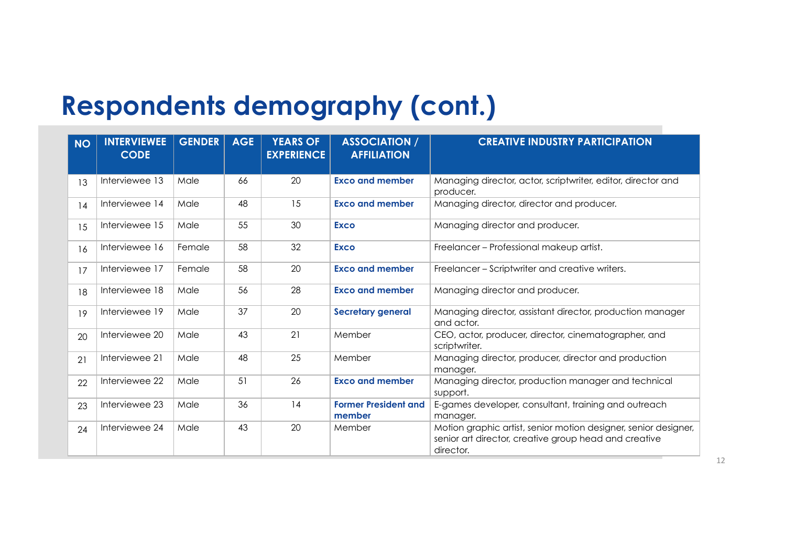### **Respondents demography (cont.)**

| <b>NO</b> | <b>INTERVIEWEE</b><br><b>CODE</b> | <b>GENDER</b> | <b>AGE</b> | <b>YEARS OF</b><br><b>EXPERIENCE</b> | <b>ASSOCIATION /</b><br><b>AFFILIATION</b> | <b>CREATIVE INDUSTRY PARTICIPATION</b>                                                                                                |
|-----------|-----------------------------------|---------------|------------|--------------------------------------|--------------------------------------------|---------------------------------------------------------------------------------------------------------------------------------------|
| 13        | Interviewee 13                    | Male          | 66         | 20                                   | <b>Exco and member</b>                     | Managing director, actor, scriptwriter, editor, director and<br>producer.                                                             |
| 14        | Interviewee 14                    | Male          | 48         | 15                                   | <b>Exco and member</b>                     | Managing director, director and producer.                                                                                             |
| 15        | Interviewee 15                    | Male          | 55         | 30                                   | <b>Exco</b>                                | Managing director and producer.                                                                                                       |
| 16        | Interviewee 16                    | Female        | 58         | 32                                   | <b>Exco</b>                                | Freelancer – Professional makeup artist.                                                                                              |
| 17        | Interviewee 17                    | Female        | 58         | 20                                   | <b>Exco and member</b>                     | Freelancer – Scriptwriter and creative writers.                                                                                       |
| 18        | Interviewee 18                    | Male          | 56         | 28                                   | <b>Exco and member</b>                     | Managing director and producer.                                                                                                       |
| 19        | Interviewee 19                    | Male          | 37         | 20                                   | <b>Secretary general</b>                   | Managing director, assistant director, production manager<br>and actor.                                                               |
| 20        | Interviewee 20                    | Male          | 43         | 21                                   | Member                                     | CEO, actor, producer, director, cinematographer, and<br>scriptwriter.                                                                 |
| 21        | Interviewee 21                    | Male          | 48         | 25                                   | Member                                     | Managing director, producer, director and production<br>manager.                                                                      |
| 22        | Interviewee 22                    | Male          | 51         | 26                                   | <b>Exco and member</b>                     | Managing director, production manager and technical<br>support.                                                                       |
| 23        | Interviewee 23                    | Male          | 36         | 14                                   | <b>Former President and</b><br>member      | E-games developer, consultant, training and outreach<br>manager.                                                                      |
| 24        | Interviewee 24                    | Male          | 43         | 20                                   | Member                                     | Motion graphic artist, senior motion designer, senior designer,<br>senior art director, creative group head and creative<br>director. |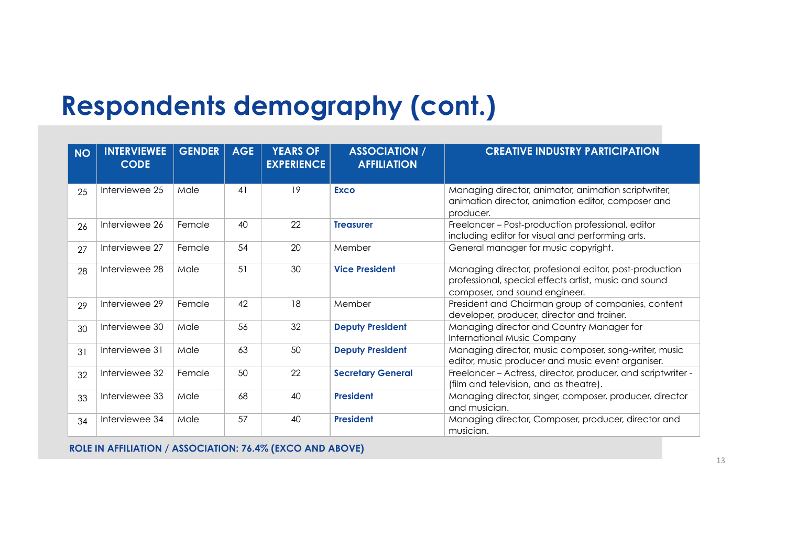### **Respondents demography (cont.)**

| <b>NO</b> | <b>INTERVIEWEE</b><br><b>CODE</b> | <b>GENDER</b> | <b>AGE</b> | <b>YEARS OF</b><br><b>EXPERIENCE</b> | <b>ASSOCIATION /</b><br><b>AFFILIATION</b> | <b>CREATIVE INDUSTRY PARTICIPATION</b>                                                                                                           |
|-----------|-----------------------------------|---------------|------------|--------------------------------------|--------------------------------------------|--------------------------------------------------------------------------------------------------------------------------------------------------|
| 25        | Interviewee 25                    | Male          | 41         | 19                                   | <b>Exco</b>                                | Managing director, animator, animation scriptwriter,<br>animation director, animation editor, composer and<br>producer.                          |
| 26        | Interviewee 26                    | Female        | 40         | 22                                   | <b>Treasurer</b>                           | Freelancer - Post-production professional, editor<br>including editor for visual and performing arts.                                            |
| 27        | Interviewee 27                    | Female        | 54         | 20                                   | Member                                     | General manager for music copyright.                                                                                                             |
| 28        | Interviewee 28                    | Male          | 51         | 30                                   | <b>Vice President</b>                      | Managing director, profesional editor, post-production<br>professional, special effects artist, music and sound<br>composer, and sound engineer. |
| 29        | Interviewee 29                    | Female        | 42         | 18                                   | Member                                     | President and Chairman group of companies, content<br>developer, producer, director and trainer.                                                 |
| 30        | Interviewee 30                    | Male          | 56         | 32                                   | <b>Deputy President</b>                    | Managing director and Country Manager for<br><b>International Music Company</b>                                                                  |
| 31        | Interviewee 31                    | Male          | 63         | 50                                   | <b>Deputy President</b>                    | Managing director, music composer, song-writer, music<br>editor, music producer and music event organiser.                                       |
| 32        | Interviewee 32                    | Female        | 50         | 22                                   | <b>Secretary General</b>                   | Freelancer - Actress, director, producer, and scriptwriter -<br>(film and television, and as theatre).                                           |
| 33        | Interviewee 33                    | Male          | 68         | 40                                   | <b>President</b>                           | Managing director, singer, composer, producer, director<br>and musician.                                                                         |
| 34        | Interviewee 34                    | Male          | 57         | 40                                   | <b>President</b>                           | Managing director, Composer, producer, director and<br>musician.                                                                                 |

**ROLE IN AFFILIATION / ASSOCIATION: 76.4% (EXCO AND ABOVE)**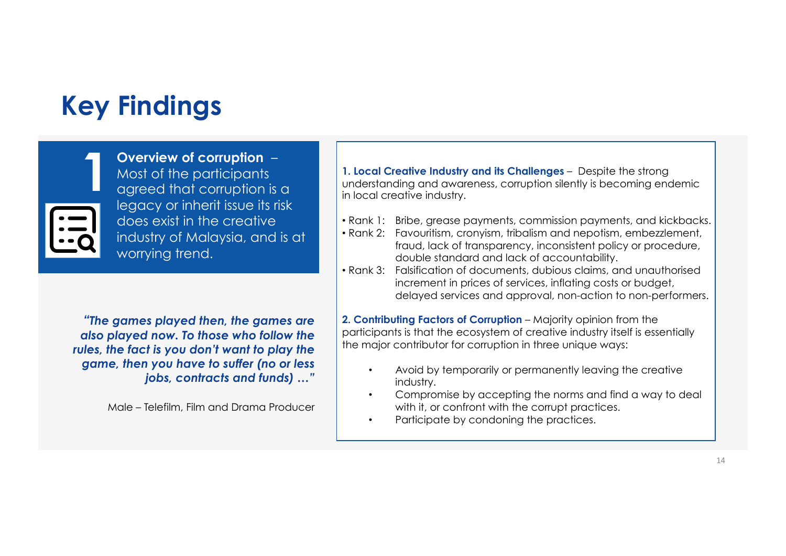

**Overview of corruption** – Most of the participants agreed that corruption is a legacy or inherit issue its risk does exist in the creative industry of Malaysia, and is at worrying trend.

*"The games played then, the games are also played now. To those who follow the rules, the fact is you don't want to play the game, then you have to suffer (no or less jobs, contracts and funds) …"* 

Male – Telefilm, Film and Drama Producer

**1. Local Creative Industry and its Challenges** – Despite the strong<br>agreed that corruption is a<br>in local creative industry. understanding and awareness, corruption silently is becoming endemic in local creative industry.

- Rank 1: Bribe, grease payments, commission payments, and kickbacks.
- Rank 2: Favouritism, cronyism, tribalism and nepotism, embezzlement, fraud, lack of transparency, inconsistent policy or procedure, double standard and lack of accountability.
- Rank 3: Falsification of documents, dubious claims, and unauthorised increment in prices of services, inflating costs or budget, delayed services and approval, non-action to non-performers.

**2. Contributing Factors of Corruption** – Majority opinion from the participants is that the ecosystem of creative industry itself is essentially the major contributor for corruption in three unique ways:

- Avoid by temporarily or permanently leaving the creative industry.
- Compromise by accepting the norms and find a way to deal with it, or confront with the corrupt practices.
- Participate by condoning the practices.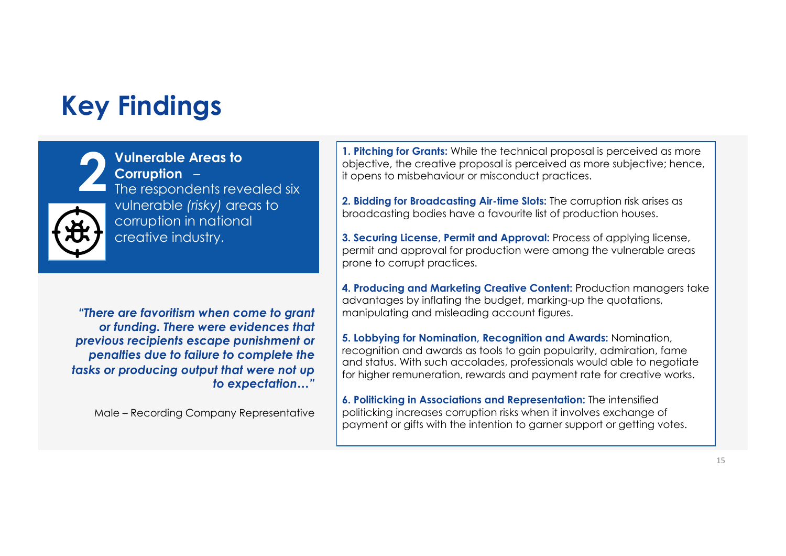

**Vulnerable Areas to Corruption** – The respondents revealed six vulnerable *(risky)* areas to corruption in national creative industry.

*"There are favoritism when come to grant or funding. There were evidences that previous recipients escape punishment or penalties due to failure to complete the tasks or producing output that were not up to expectation…"* 

Male – Recording Company Representative

**2 2. Pitching for Grants:** While the technical proposal is perceived as more objective; hence, if opens to misbehaviour or misconduct practices.<br>The respondents revealed six objective, the creative proposal is perceived as more subjective; hence, it opens to misbehaviour or misconduct practices.

**2. Bidding for Broadcasting Air-time Slots:** The corruption risk arises as broadcasting bodies have a favourite list of production houses.

**3. Securing License, Permit and Approval:** Process of applying license, permit and approval for production were among the vulnerable areas prone to corrupt practices.

**4. Producing and Marketing Creative Content:** Production managers take advantages by inflating the budget, marking-up the quotations, manipulating and misleading account figures.

**5. Lobbying for Nomination, Recognition and Awards:** Nomination, recognition and awards as tools to gain popularity, admiration, fame and status. With such accolades, professionals would able to negotiate for higher remuneration, rewards and payment rate for creative works.

**6. Politicking in Associations and Representation:** The intensified politicking increases corruption risks when it involves exchange of payment or gifts with the intention to garner support or getting votes.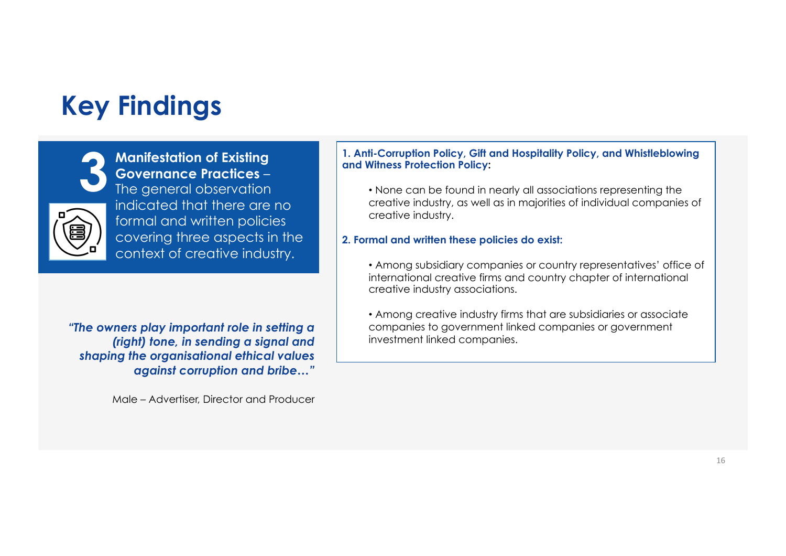

**Manifestation of Existing Governance Practices** – The general observation indicated that there are no formal and written policies covering three aspects in the context of creative industry.

*"The owners play important role in setting a (right) tone, in sending a signal and shaping the organisational ethical values against corruption and bribe…"*

Male – Advertiser, Director and Producer

#### **3 1. Anti-Corruption Policy, Gift and Hospitality Policy, and Whistleblowing and Witness Protection Policy:**

• None can be found in nearly all associations representing the creative industry, as well as in majorities of individual companies of creative industry.

#### **2. Formal and written these policies do exist:**

• Among subsidiary companies or country representatives' office of international creative firms and country chapter of international creative industry associations.

• Among creative industry firms that are subsidiaries or associate companies to government linked companies or government investment linked companies.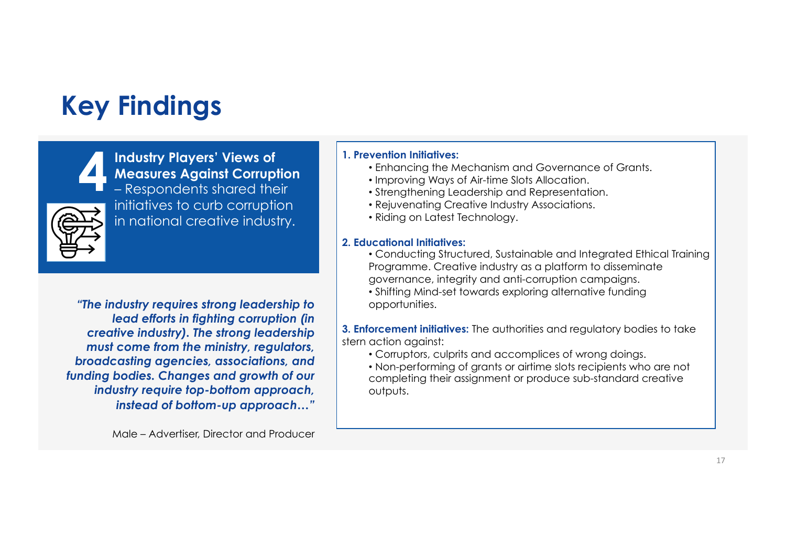

**Industry Players' Views of Measures Against Corruption** – Respondents shared their initiatives to curb corruption in national creative industry. **1. Prevention Initiatives:**<br> **1. Prevention Initiatives:**<br> **1. Prevention Initiatives:**<br> **1. Prevention Initiatives:**<br> **1. Prevention Initiatives:**<br> **1. Prevention Initiatives:**<br> **1. Prevention Initiatives:**<br> **1. Preventi** 

*"The industry requires strong leadership to lead efforts in fighting corruption (in creative industry). The strong leadership must come from the ministry, regulators, broadcasting agencies, associations, and funding bodies. Changes and growth of our industry require top-bottom approach, instead of bottom-up approach…"*

Male – Advertiser, Director and Producer

- Enhancing the Mechanism and Governance of Grants.
- Improving Ways of Air-time Slots Allocation.
- Strengthening Leadership and Representation.
- Rejuvenating Creative Industry Associations.
- Riding on Latest Technology.

#### **2. Educational Initiatives:**:

- Conducting Structured, Sustainable and Integrated Ethical Training Programme. Creative industry as a platform to disseminate governance, integrity and anti-corruption campaigns.
- Shifting Mind-set towards exploring alternative funding opportunities.

**3. Enforcement initiatives:** The authorities and regulatory bodies to take stern action against:

- Corruptors, culprits and accomplices of wrong doings.
- Non-performing of grants or airtime slots recipients who are not completing their assignment or produce sub-standard creative outputs.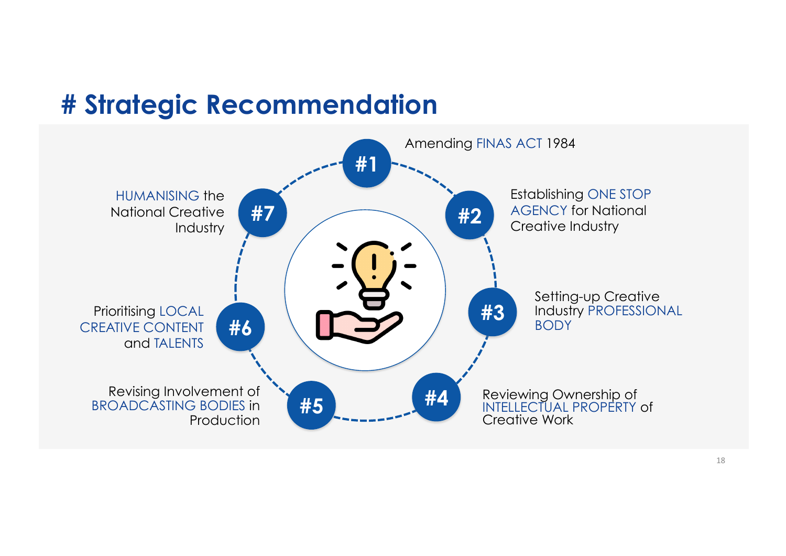### **# Strategic Recommendation**

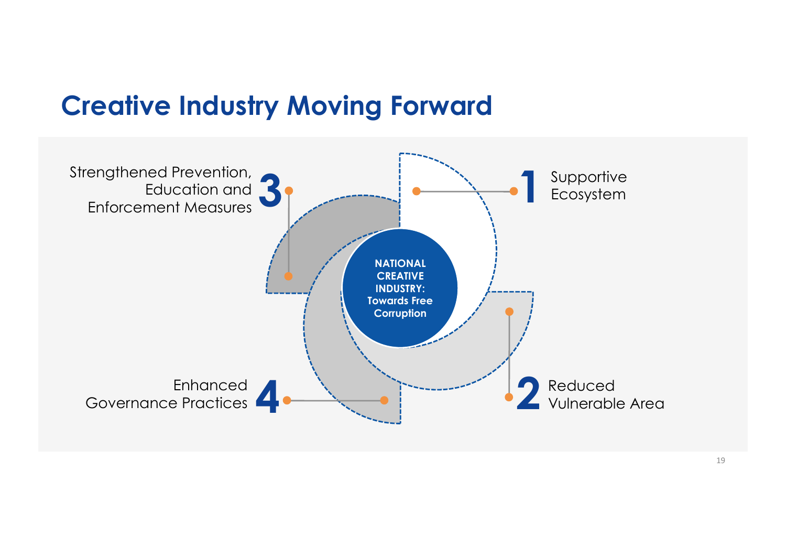#### **Creative Industry Moving Forward**